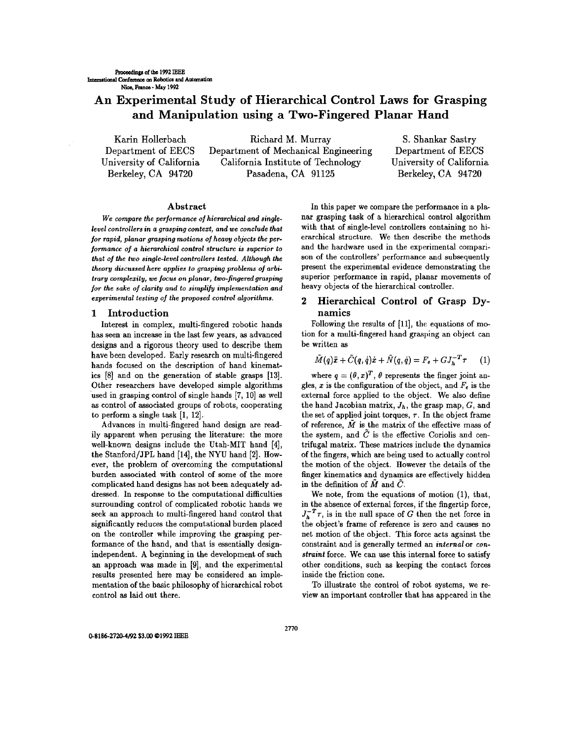# **An Experimental Study of Hierarchical Control Laws for Grasping and Manipulation using a Two-Fingered Planar Hand**

Karin Hollerbach Department of EECS University of California Berkeley, CA 94720

Richard M. Murray Department of Mechanical Engineering California Institute of Technology Pasadena, CA 91125

S. Shankar Sastry Department of EECS University of California Berkeley, CA 94720

# Abstract

We *compare the performance of hierarchical and singlelevel controllers in a grasping context, and* we *conclude that for rapid, planar grasping motions of heavy objects the* per*formance of a hierarchical control structure is superior to that of the two single-level controllers* tested. *Although the theory discussed* here *applies to grasping problems of arbitrary complexity,* we *focus on planar, two-fingered grasping for the sake of clarity and to simplify implementation and experimental testing of the proposed control algorithms.* 

#### **1** Introduction

Interest in complex, multi-fingered robotic hands has seen an increase in the last few years, as advanced designs and a rigorous theory used to describe them have been developed. Early research on multi-fingered hands focused on the description of hand kinematics [8] and on the generation of stable grasps [13]. Other researchers have developed simple algorithms used in grasping control of single hands [7, 10] as well as control of associated groups of robots, cooperating to perform a single task [1, 12].

Advances in multi-fingered hand design are readily apparent when perusing the literature: the more well-known designs include the Utah-MIT hand [4], the Stanford/JPL hand [14], the NYU hand [2]. However, the problem of overcoming the computational burden associated with control of some of the more complicated hand designs has not been adequately addressed. In response to the computational difficulties surrounding control of complicated robotic hands we seek an approach to multi-fingered hand control that significantly reduces the computational burden placed on the controller while improving the grasping performance of the hand, and that is essentially designindependent. A beginning in the development of such an approach was made in [9], and the experimental results presented here may be considered an implementation of the basic philosophy of hierarchical robot control as laid out there.

In this paper we compare the performance in a planar grasping task of a hierarchical control algorithm with that of single-level controllers containing no hierarchical structure. We then describe the methods and the hardware used in the experimental comparison of the controllers' performance and subsequently present the experimental evidence demonstrating the superior performance in rapid, planar movements of heavy objects of the hierarchical controller.

# 2 Hierarchical Control of Grasp Dynamics

Following the results of [11], the equations of motion for a multi-fingered hand grasping an object can be written as

$$
\tilde{M}(q)\ddot{x} + \tilde{C}(q,\dot{q})\dot{x} + \tilde{N}(q,\dot{q}) = F_e + GJ_h^{-T}r \qquad (1)
$$

where  $q = (\theta, x)^T$ ,  $\theta$  represents the finger joint angles, x is the configuration of the object, and  $F_e$  is the external force applied to the object. We also define the hand Jacobian matrix, *Jh,* the grasp map, G, and the set of applied joint torques,  $\tau$ . In the object frame of reference,  $\tilde{M}$  is the matrix of the effective mass of the system, and  $\tilde{C}$  is the effective Coriolis and centrifugal matrix. These matrices include the dynamics of the fingers, which are being used to actually control the motion of the object. However the details of the finger kinematics and dynamics are effectively hidden in the definition of  $\tilde{M}$  and  $\tilde{C}$ .

We note, from the equations of motion (1), that, in the absence of external forces, if the fingertip force,  $J_h^{-T}$ , is in the null space of *G* then the net force in the object's frame of reference is zero and causes no net motion of the object. This force acts against the constraint and is generally termed an *internal* or *constraint* force. We can use this internal force to satisfy other conditions, such as keeping the contact forces inside the friction cone.

To illustrate the control of robot systems, we review an important controller that has appeared in the

0-8186-2720-4192 \$3.00 @1992 IEEE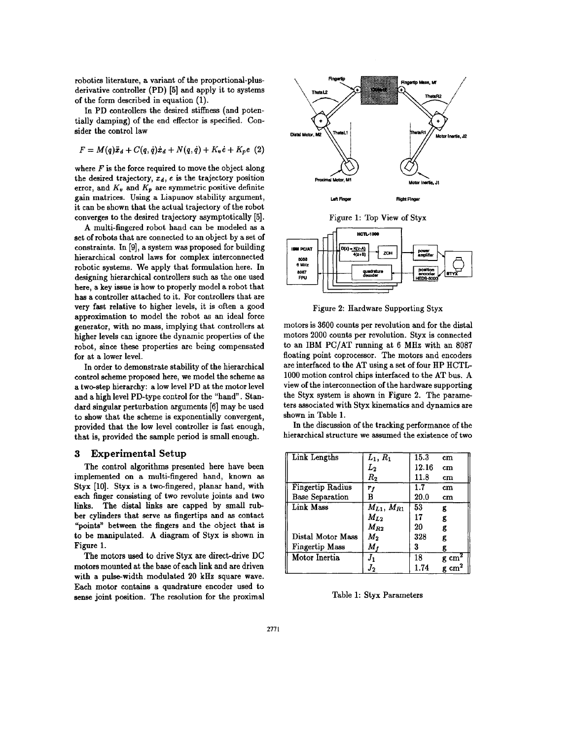robotics literature, a variant of the proportional-plusderivative controller (PD) [5] and apply it to systems of the form described in equation (1).

In PD controllers the desired stiffness (and potentially damping) of the end effector is specified. Consider the control law

$$
F = M(q)\ddot{x}_d + C(q,\dot{q})\dot{x}_d + N(q,\dot{q}) + K_v\dot{e} + K_p e
$$
 (2)

where  $F$  is the force required to move the object along the desired trajectory,  $x_d$ , e is the trajectory position error, and  $K_v$  and  $K_p$  are symmetric positive definite gain matrices. Using a Liapunov stability argument, it can be shown that the actual trajectory of the robot converges to the desired trajectory asymptotically (5).

A multi-fingered robot hand can be modeled as a set of robots that are connected to an object by a set of constraints. In [9), a system was proposed for building hierarchical control laws for complex interconnected robotic systems. We apply that formulation here. In designing hierarchical controllers such as the one used here, a key issue is how to properly model a robot that has a controller attached to it. For controllers that are very fast relative to higher levels, it is often a good approximation to model the robot as an ideal force generator, with no mass, implying that controllers at higher levels can ignore the dynamic properties of the robot, since these properties are being compensated for at a lower level.

In order to demonstrate stability of the hierarchical control scheme proposed here, we model the scheme as a two-step hierarchy: a low level PD at the motor level and a high level PD-type control for the "hand". Standard singular perturbation arguments [6) may be used to show that the scheme is exponentially convergent, provided that the low level controller is fast enough, that is, provided the sample period is small enough.

## **3 Experimental Setup**

The control algorithms presented here have been implemented on a multi-fingered hand, known as Styx [10]. Styx is a two-fingered, planar hand, with each finger consisting of two revolute joints and two links. The distal links are capped by small rubber cylinders that serve as fingertips and as contact "points" between the fingers and the object that is to be manipulated. A diagram of Styx is shown in Figure 1.

The motors used to drive Styx are direct-drive DC motors mounted at the base of each link and are driven with a pulse-width modulated 20 kHz square wave. Each motor contains a quadrature encoder used to sense joint position. The resolution for the proximal





Figure 2: Hardware Supporting Styx

motors is 3600 counts per revolution and for the distal motors 2000 counts per revolution. Styx is connected to an IBM PC/AT running at  $6$  MHz with an 8087 floating point coprocessor. The motors and encoders are interfaced to the AT using a set of four HP HCTL-1000 motion control chips interfaced to the AT bus. A view of the interconnection of the hardware supporting the Styx system is shown in Figure 2. The parameters associated with Styx kinematics and dynamics are shown in Table 1.

In the discussion of the tracking performance of the hierarchical structure we assumed the existence of two

| Link Lengths           | $L_1, R_1$          | 15.3  | $\rm cm$              |
|------------------------|---------------------|-------|-----------------------|
|                        | $\scriptstyle L_2$  | 12.16 | $cm$                  |
|                        | $R_{2}$             | 11.8  | $cm$                  |
| Fingertip Radius       | $r_{\it f}$         | 1.7   | $\rm cm$              |
| <b>Base Separation</b> | в                   | 20.0  | cm                    |
| Link Mass              | $M_{L1}$ , $M_{R1}$ | 53    | g                     |
|                        | $M_{L2}$            | 17    | g                     |
|                        | $M_{R2}$            | 20    | g                     |
| Distal Motor Mass      | $M_{\rm 2}$         | 328   | g                     |
| Fingertip Mass         | $M_f$               | 3     | g                     |
| Motor Inertia          |                     | 18    | g cm <sup>-</sup>     |
|                        | J2                  | 1.74  | $\mathbf{cm}^{\cdot}$ |

Table 1: Styx Parameters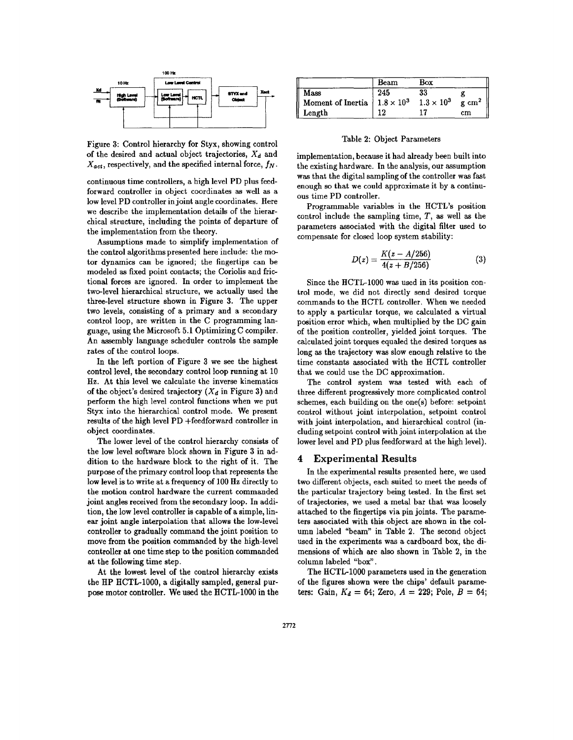

Figure 3: Control hierarchy for Styx, showing control of the desired and actual object trajectories,  $X_d$  and  $X_{act}$ , respectively, and the specified internal force,  $f_N$ .

continuous time controllers, a high level PD plus feedforward controller in object coordinates as well as a low level PD controller in joint angle coordinates. Here we describe the implementation details of the hierarchical structure, including the points of departure of the implementation from the theory.

Assumptions made to simplify implementation of the control algorithms presented here include: the motor dynamics can be ignored; the fingertips can be modeled as fixed point contacts; the Coriolis and frictional forces are ignored. In order to implement the two-level hierarchical structure, we actually used the three-level structure shown in Figure 3. The upper two levels, consisting of a primary and a secondary control loop, are written in the C programming language, using the Microsoft 5.1 Optimizing C compiler. An assembly language scheduler controls the sample rates of the control loops.

In the left portion of Figure 3 we see the highest control level, the secondary control loop running at 10 Hz. At this level we calculate the inverse kinematics of the object's desired trajectory  $(X_d$  in Figure 3) and perform the high level control functions when we put Styx into the hierarchical control mode. We present results of the high level PD +feedforward controller in object coordinates.

The lower level of the control hierarchy consists of the low level software block shown in Figure 3 in addition to the hardware block to the right of it. The purpose of the primary control loop that represents the low level is to write at a frequency of 100 Hz directly to the motion control hardware the current commanded joint angles received from the secondary loop. In addition, the low level controller is capable of a simple, linear joint angle interpolation that allows the low-level controller to gradually command the joint position to move from the position commanded by the high-level controller at one time step to the position commanded at the following time step.

At the lowest level of the control hierarchy exists the HP HCTL-1000, a digitally sampled, general purpose motor controller. We used the HCTL-1000 in the

|                                       | Beam | Box               |                     |
|---------------------------------------|------|-------------------|---------------------|
| Mass                                  | 245  | 33                |                     |
| Moment of Inertia   $1.8 \times 10^3$ |      | $1.3 \times 10^3$ | $g$ cm <sup>2</sup> |
| Length                                |      |                   | cm                  |

Table 2: Object Parameters

implementation, because it had already been built into the existing hardware. In the analysis, our assumption was that the digital sampling of the controller was fast enough so that we could approximate it by a continuous time PD controller.

Programmable variables in the HCTL's position control include the sampling time,  $T$ , as well as the parameters associated with the digital filter used to compensate for closed loop system stability:

$$
D(z) = \frac{K(z - A/256)}{4(z + B/256)}
$$
 (3)

Since the HCTL-1000 was used in its position control mode, we did not directly send desired torque commands to the HCTL controller. When we needed to apply a particular torque, we calculated a virtual position error which, when multiplied by the DC gain of the position controller, yielded joint torques. The calculated joint torques equaled the desired torques as long as the trajectory was slow enough relative to the time constants associated with the HCTL controller that we could use the DC approximation.

The control system was tested with each of three different progressively more complicated control schemes, each building on the one(s) before: setpoint control without joint interpolation, setpoint control with joint interpolation, and hierarchical control (including set point control with joint interpolation at the lower level and PD plus feedforward at the high level).

### **4 Experimental Results**

In the experimental results presented here, we used two different objects, each suited to meet the needs of the particular trajectory being tested. In the first set of trajectories, we used a metal bar that was loosely attached to the fingertips via pin joints. The parameters associated with this object are shown in the column labeled "beam" in Table 2. The second object used in the experiments was a cardboard box, the dimensions of which are also shown in Table 2, in the column labeled "box" .

The HCTL-1000 parameters used in the generation of the figures shown were the chips' default parameters: Gain,  $K_d = 64$ ; Zero,  $A = 229$ ; Pole,  $B = 64$ ;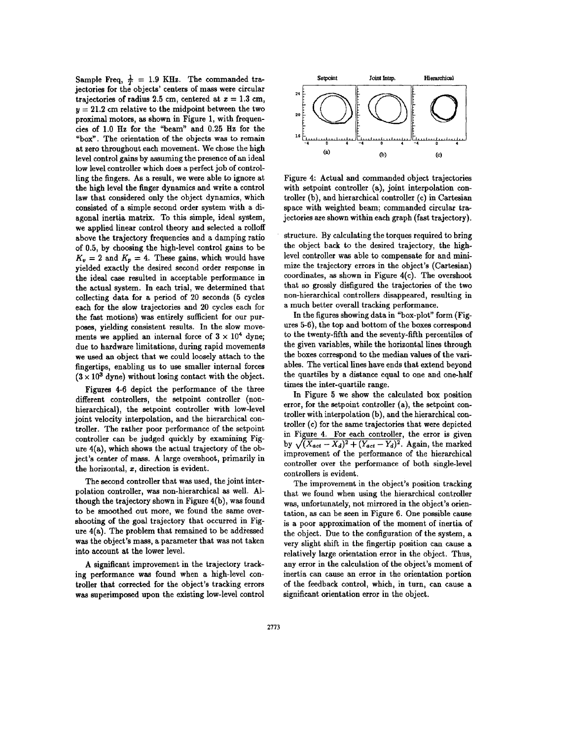Sample Freq,  $\frac{1}{T}$  = 1.9 KHz. The commanded trajectories for the objects' centers of mass were circular trajectories of radius 2.5 cm, centered at  $x = 1.3$  cm,  $y = 21.2$  cm relative to the midpoint between the two proximal motors, as shown in Figure 1, with frequencies of 1.0 Hz for the "beam" and 0.25 Hz for the "box". The orientation of the objects was to remain at zero throughout each movement. We chose the high level control gains by assuming the presence of an ideal low level controller which does a perfect job of controlling the fingers. As a result, we were able to ignore at the high level the finger dynamics and write a control law that considered only the object dynamics, which consisted of a simple second order system with a diagonal inertia matrix. To this simple, ideal system, we applied linear control theory and selected a rolloff above the trajectory frequencies and a damping ratio of 0.5, by choosing the high-level control gains to be  $K_v = 2$  and  $K_p = 4$ . These gains, which would have yielded exactly the desired second order response in the ideal case resulted in acceptable performance in the actual system. In each trial, we determined that collecting data for a period of 20 seconds (5 cycles each for the slow trajectories and 20 cycles each for the fast motions) was entirely sufficient for our purposes, yielding consistent results. In the slow movements we applied an internal force of  $3 \times 10^4$  dyne; due to hardware limitations, during rapid movements we used an object that we could loosely attach to the fingertips, enabling us to use smaller internal forces  $(3 \times 10^3$  dyne) without losing contact with the object.

Figures 4-6 depict the performance of the three different controllers, the setpoint controller (nonhierarchical), the setpoint controller with low-level joint velocity interpolation, and the hierarchical controller. The rather poor performance of the setpoint controller can be judged quickly by examining Figure 4(a), which shows the actual trajectory of the object's center of mass. A large overshoot, primarily in the horizontal, z, direction is evident.

The second controller that was used, the joint interpolation controller, was non-hierarchical as well. Although the trajectory shown in Figure 4(b), was found to be smoothed out more, we found the same overshooting of the goal trajectory that occurred in Figure 4(a). The problem that remained to be addressed was the object's mass, a parameter that was not taken into account at the lower level.

A significant improvement in the trajectory tracking performance was found when a high-level controller that corrected for the object's tracking errors was superimposed upon the existing low-level control



Figure 4: Actual and commanded object trajectories with setpoint controller (a), joint interpolation controller (b), and hierarchical controller (c) in Cartesian space with weighted beam; commanded circular trajectories are shown within each graph (fast trajectory).

structure. By calculating the torques required to bring the object back to the desired trajectory, the highlevel controller was able to compensate for and minimize the trajectory errors in the object's (Cartesian) coordinates, as shown in Figure 4(c). The overshoot that so grossly disfigured the trajectories of the two non-hierarchical controllers disappeared, resulting in a much better overall tracking performance.

In the figures showing data in "box-plot" form (Figures 5-6), the top and bottom of the boxes correspond to the twenty-fifth and the seventy-fifth percentiles of the given variables, while the horizontal lines through the boxes correspond to the median values of the variables. The vertical lines have ends that extend beyond the quartiles by a distance equal to one and one-half times the inter-quartile range.

In Figure 5 we show the calculated box position error, for the setpoint controller (a), the setpoint controller with interpolation (b), and the hierarchical controller (c) for the same trajectories that were depicted in Figure 4. For each controller, the error is given by  $\sqrt{(X_{act} - X_d)^2 + (Y_{act} - Y_d)^2}$ . Again, the marked improvement of the performance of the hierarchical controller over the performance of both single-level controllers is evident.

The improvement in the object's position tracking that we found when using the hierarchical controller was, unfortunately, not mirrored in the object's orientation, as can be seen in Figure 6. One possible cause is a poor approximation of the moment of inertia of the object. Due to the configuration of the system, a very slight shift in the fingertip position can cause a relatively large orientation error in the object. Thus, any error in the calculation of the object's moment of inertia can cause an error in the orientation portion of the feedback control, which, in turn, can cause a significant orientation error in the object.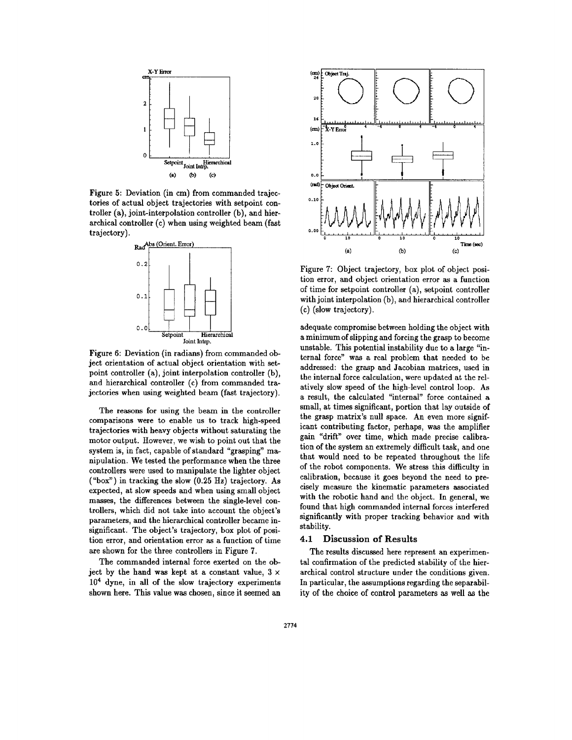

Figure 5: Deviation (in cm) from commanded trajectories of actual object trajectories with setpoint controller (a), joint-interpolation controller (b), and hierarchical controller (c) when using weighted beam (fast trajectory).



Figure 6: Deviation (in radians) from commanded object orientation of actual object orientation with setpoint controller (a), joint interpolation controller (b), and hierarchical controller (c) from commanded trajectories when using weighted beam (fast trajectory).

The reasons for using the beam in the controller comparisons were to enable us to track high-speed trajectories with heavy objects without saturating the motor output. However, we wish to point out that the system is, in fact, capable of standard "grasping" manipulation. We tested the performance when the three controllers were used to manipulate the lighter object ("box") in tracking the slow (0.25 Hz) trajectory. As expected, at slow speeds and when using small object masses, the differences between the single-level controllers, which did not take into account the object's parameters, and the hierarchical controller became insignificant. The object's trajectory, box plot of position error, and orientation error as a function of time are shown for the three controllers in Figure 7.

The commanded internal force exerted on the object by the hand was kept at a constant value,  $3 \times$  $10<sup>4</sup>$  dyne, in all of the slow trajectory experiments shown here. This value was chosen, since it seemed an



Figure 7: Object trajectory, box plot of object position error, and object orientation error as a function of time for setpoint controller (a), setpoint controller with joint interpolation (b), and hierarchical controller ( c) (slow trajectory).

adequate compromise between holding the object with a minimum of slipping and forcing the grasp to become unstable. This potential instability due to a large "internal force" was a real problem that needed to be addressed: the grasp and Jacobian matrices, used in the internal force calculation, were updated at the relatively slow speed of the high-level control loop. As a result, the calculated "internal" force contained a small, at times significant, portion that lay outside of the grasp matrix's null space. An even more significant contributing factor, perhaps, was the amplifier gain "drift" over time, which made precise calibration of the system an extremely difficult task, and one that would need to be repeated throughout the life of the robot components. We stress this difficulty in calibration, because it goes beyond the need to precisely measure the kinematic parameters associated with the robotic hand and the object. In general, we found that high commanded internal forces interfered significantly with proper tracking behavior and with stability.

### **4.1 Discussion of Results**

The results discussed here represent an experimental confirmation of the predicted stability of the hierarchical control structure under the conditions given. In particular, the assumptions regarding the separability of the choice of control parameters as well as the